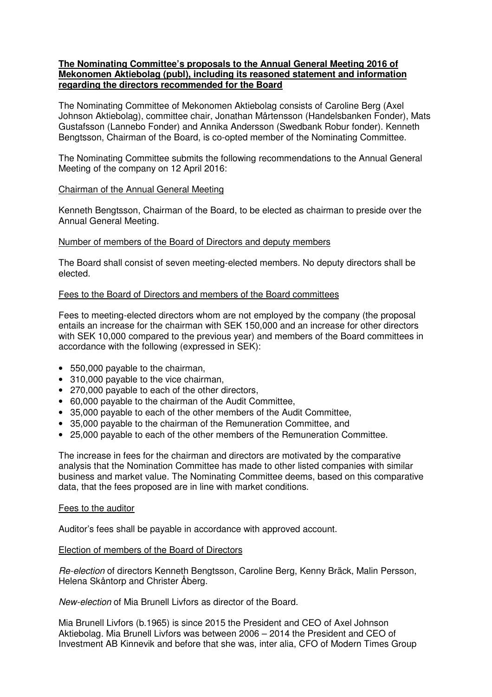## **The Nominating Committee's proposals to the Annual General Meeting 2016 of Mekonomen Aktiebolag (publ), including its reasoned statement and information regarding the directors recommended for the Board**

The Nominating Committee of Mekonomen Aktiebolag consists of Caroline Berg (Axel Johnson Aktiebolag), committee chair, Jonathan Mårtensson (Handelsbanken Fonder), Mats Gustafsson (Lannebo Fonder) and Annika Andersson (Swedbank Robur fonder). Kenneth Bengtsson, Chairman of the Board, is co-opted member of the Nominating Committee.

The Nominating Committee submits the following recommendations to the Annual General Meeting of the company on 12 April 2016:

## Chairman of the Annual General Meeting

Kenneth Bengtsson, Chairman of the Board, to be elected as chairman to preside over the Annual General Meeting.

## Number of members of the Board of Directors and deputy members

The Board shall consist of seven meeting-elected members. No deputy directors shall be elected.

## Fees to the Board of Directors and members of the Board committees

Fees to meeting-elected directors whom are not employed by the company (the proposal entails an increase for the chairman with SEK 150,000 and an increase for other directors with SEK 10,000 compared to the previous year) and members of the Board committees in accordance with the following (expressed in SEK):

- 550,000 payable to the chairman,
- 310,000 payable to the vice chairman,
- 270,000 payable to each of the other directors,
- 60,000 payable to the chairman of the Audit Committee,
- 35,000 payable to each of the other members of the Audit Committee,
- 35,000 payable to the chairman of the Remuneration Committee, and
- 25,000 payable to each of the other members of the Remuneration Committee.

The increase in fees for the chairman and directors are motivated by the comparative analysis that the Nomination Committee has made to other listed companies with similar business and market value. The Nominating Committee deems, based on this comparative data, that the fees proposed are in line with market conditions.

#### Fees to the auditor

Auditor's fees shall be payable in accordance with approved account.

#### Election of members of the Board of Directors

Re-election of directors Kenneth Bengtsson, Caroline Berg, Kenny Bräck, Malin Persson, Helena Skåntorp and Christer Åberg.

New-election of Mia Brunell Livfors as director of the Board.

Mia Brunell Livfors (b.1965) is since 2015 the President and CEO of Axel Johnson Aktiebolag. Mia Brunell Livfors was between 2006 – 2014 the President and CEO of Investment AB Kinnevik and before that she was, inter alia, CFO of Modern Times Group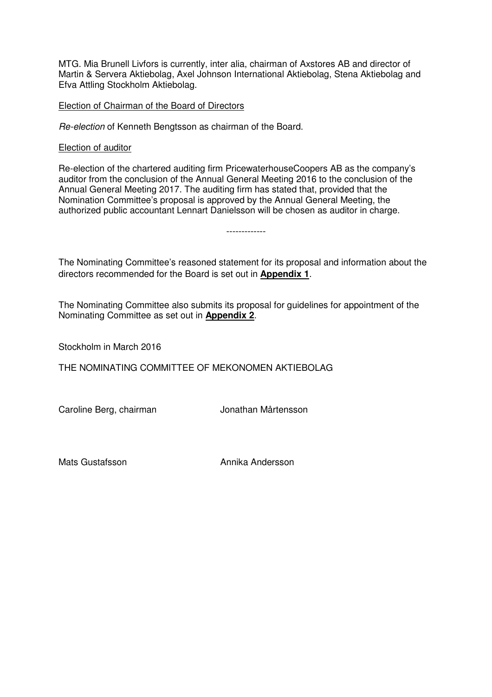MTG. Mia Brunell Livfors is currently, inter alia, chairman of Axstores AB and director of Martin & Servera Aktiebolag, Axel Johnson International Aktiebolag, Stena Aktiebolag and Efva Attling Stockholm Aktiebolag.

## Election of Chairman of the Board of Directors

Re-election of Kenneth Bengtsson as chairman of the Board.

#### Election of auditor

Re-election of the chartered auditing firm PricewaterhouseCoopers AB as the company's auditor from the conclusion of the Annual General Meeting 2016 to the conclusion of the Annual General Meeting 2017. The auditing firm has stated that, provided that the Nomination Committee's proposal is approved by the Annual General Meeting, the authorized public accountant Lennart Danielsson will be chosen as auditor in charge.

The Nominating Committee's reasoned statement for its proposal and information about the directors recommended for the Board is set out in **Appendix 1**.

-------------

The Nominating Committee also submits its proposal for guidelines for appointment of the Nominating Committee as set out in **Appendix 2**.

Stockholm in March 2016

THE NOMINATING COMMITTEE OF MEKONOMEN AKTIEBOLAG

Caroline Berg, chairman van Europa Jonathan Mårtensson

Mats Gustafsson **Annika Andersson**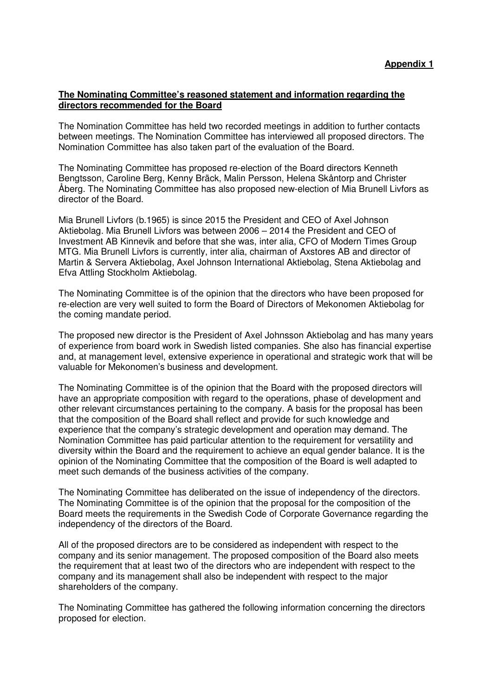## **The Nominating Committee's reasoned statement and information regarding the directors recommended for the Board**

The Nomination Committee has held two recorded meetings in addition to further contacts between meetings. The Nomination Committee has interviewed all proposed directors. The Nomination Committee has also taken part of the evaluation of the Board.

The Nominating Committee has proposed re-election of the Board directors Kenneth Bengtsson, Caroline Berg, Kenny Bräck, Malin Persson, Helena Skåntorp and Christer Åberg. The Nominating Committee has also proposed new-election of Mia Brunell Livfors as director of the Board.

Mia Brunell Livfors (b.1965) is since 2015 the President and CEO of Axel Johnson Aktiebolag. Mia Brunell Livfors was between 2006 – 2014 the President and CEO of Investment AB Kinnevik and before that she was, inter alia, CFO of Modern Times Group MTG. Mia Brunell Livfors is currently, inter alia, chairman of Axstores AB and director of Martin & Servera Aktiebolag, Axel Johnson International Aktiebolag, Stena Aktiebolag and Efva Attling Stockholm Aktiebolag.

The Nominating Committee is of the opinion that the directors who have been proposed for re-election are very well suited to form the Board of Directors of Mekonomen Aktiebolag for the coming mandate period.

The proposed new director is the President of Axel Johnsson Aktiebolag and has many years of experience from board work in Swedish listed companies. She also has financial expertise and, at management level, extensive experience in operational and strategic work that will be valuable for Mekonomen's business and development.

The Nominating Committee is of the opinion that the Board with the proposed directors will have an appropriate composition with regard to the operations, phase of development and other relevant circumstances pertaining to the company. A basis for the proposal has been that the composition of the Board shall reflect and provide for such knowledge and experience that the company's strategic development and operation may demand. The Nomination Committee has paid particular attention to the requirement for versatility and diversity within the Board and the requirement to achieve an equal gender balance. It is the opinion of the Nominating Committee that the composition of the Board is well adapted to meet such demands of the business activities of the company.

The Nominating Committee has deliberated on the issue of independency of the directors. The Nominating Committee is of the opinion that the proposal for the composition of the Board meets the requirements in the Swedish Code of Corporate Governance regarding the independency of the directors of the Board.

All of the proposed directors are to be considered as independent with respect to the company and its senior management. The proposed composition of the Board also meets the requirement that at least two of the directors who are independent with respect to the company and its management shall also be independent with respect to the major shareholders of the company.

The Nominating Committee has gathered the following information concerning the directors proposed for election.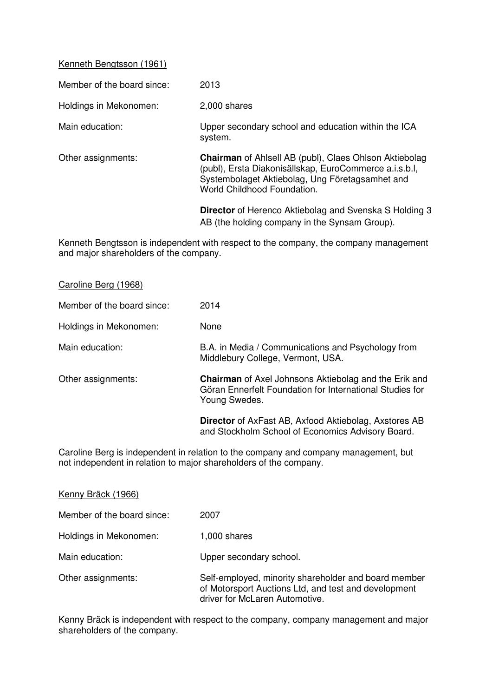## Kenneth Bengtsson (1961)

| Member of the board since: | 2013                                                                                                                                                                                                      |
|----------------------------|-----------------------------------------------------------------------------------------------------------------------------------------------------------------------------------------------------------|
| Holdings in Mekonomen:     | 2,000 shares                                                                                                                                                                                              |
| Main education:            | Upper secondary school and education within the ICA<br>system.                                                                                                                                            |
| Other assignments:         | <b>Chairman</b> of Ahlsell AB (publ), Claes Ohlson Aktiebolag<br>(publ), Ersta Diakonisällskap, EuroCommerce a.i.s.b.l,<br>Systembolaget Aktiebolag, Ung Företagsamhet and<br>World Childhood Foundation. |
|                            | <b>Director</b> of Herenco Aktiebolag and Svenska S Holding 3<br>AB (the holding company in the Synsam Group).                                                                                            |

Kenneth Bengtsson is independent with respect to the company, the company management and major shareholders of the company.

| Caroline Berg (1968) |  |  |
|----------------------|--|--|
|                      |  |  |

| Member of the board since: | 2014                                                                                                                                      |
|----------------------------|-------------------------------------------------------------------------------------------------------------------------------------------|
| Holdings in Mekonomen:     | None                                                                                                                                      |
| Main education:            | B.A. in Media / Communications and Psychology from<br>Middlebury College, Vermont, USA.                                                   |
| Other assignments:         | <b>Chairman</b> of Axel Johnsons Aktiebolag and the Erik and<br>Göran Ennerfelt Foundation for International Studies for<br>Young Swedes. |
|                            | <b>Director</b> of AxFast AB, Axfood Aktiebolag, Axstores AB<br>and Stockholm School of Economics Advisory Board.                         |

Caroline Berg is independent in relation to the company and company management, but not independent in relation to major shareholders of the company.

| Kenny Bräck (1966)         |                                                                                                                                                |
|----------------------------|------------------------------------------------------------------------------------------------------------------------------------------------|
| Member of the board since: | 2007                                                                                                                                           |
| Holdings in Mekonomen:     | 1,000 shares                                                                                                                                   |
| Main education:            | Upper secondary school.                                                                                                                        |
| Other assignments:         | Self-employed, minority shareholder and board member<br>of Motorsport Auctions Ltd, and test and development<br>driver for McLaren Automotive. |

Kenny Bräck is independent with respect to the company, company management and major shareholders of the company.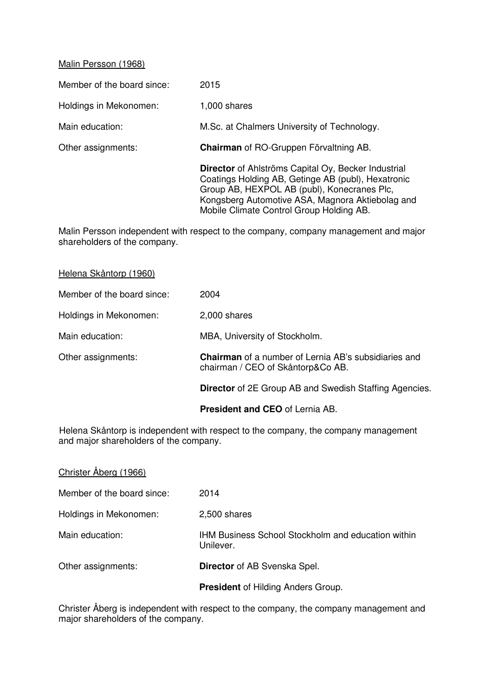## Malin Persson (1968)

 $\overline{a}$ 

Member of the board since: 2015

Holdings in Mekonomen: 1,000 shares

Main education: M.Sc. at Chalmers University of Technology.

Other assignments: **Chairman** of RO-Gruppen Förvaltning AB.

 **Director** of Ahlströms Capital Oy, Becker Industrial Coatings Holding AB, Getinge AB (publ), Hexatronic Group AB, HEXPOL AB (publ), Konecranes Plc, Kongsberg Automotive ASA, Magnora Aktiebolag and Mobile Climate Control Group Holding AB.

Malin Persson independent with respect to the company, company management and major shareholders of the company.

|                            | <b>President and CEO</b> of Lernia AB.                                                           |
|----------------------------|--------------------------------------------------------------------------------------------------|
|                            | <b>Director</b> of 2E Group AB and Swedish Staffing Agencies.                                    |
| Other assignments:         | <b>Chairman</b> of a number of Lernia AB's subsidiaries and<br>chairman / CEO of Skåntorp&Co AB. |
| Main education:            | MBA, University of Stockholm.                                                                    |
| Holdings in Mekonomen:     | 2,000 shares                                                                                     |
| Member of the board since: | 2004                                                                                             |
| Helena Skåntorp (1960)     |                                                                                                  |

Helena Skåntorp is independent with respect to the company, the company management and major shareholders of the company.

| Christer Aberg (1966)      |                                                                        |
|----------------------------|------------------------------------------------------------------------|
| Member of the board since: | 2014                                                                   |
| Holdings in Mekonomen:     | 2,500 shares                                                           |
| Main education:            | <b>IHM Business School Stockholm and education within</b><br>Unilever. |
| Other assignments:         | <b>Director</b> of AB Svenska Spel.                                    |
|                            | <b>President of Hilding Anders Group.</b>                              |

Christer Åberg is independent with respect to the company, the company management and major shareholders of the company.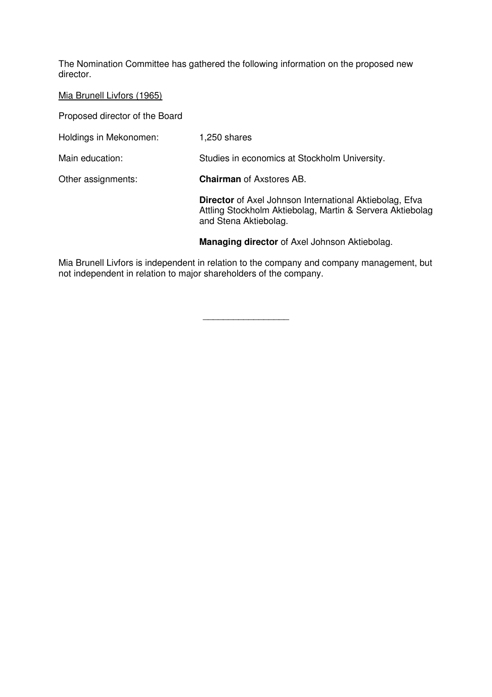The Nomination Committee has gathered the following information on the proposed new director.

## Mia Brunell Livfors (1965)

Proposed director of the Board

Holdings in Mekonomen: 1,250 shares

Main education: Studies in economics at Stockholm University.

Other assignments: **Chairman** of Axstores AB.

**Director** of Axel Johnson International Aktiebolag, Efva Attling Stockholm Aktiebolag, Martin & Servera Aktiebolag and Stena Aktiebolag.

 **Managing director** of Axel Johnson Aktiebolag.

Mia Brunell Livfors is independent in relation to the company and company management, but not independent in relation to major shareholders of the company.

\_\_\_\_\_\_\_\_\_\_\_\_\_\_\_\_\_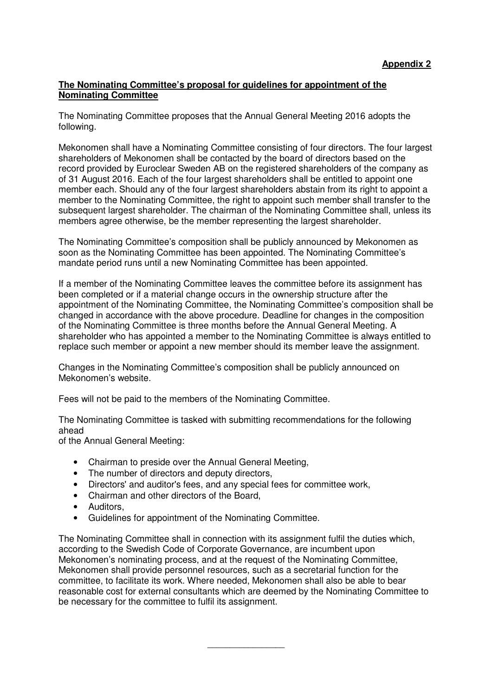# **The Nominating Committee's proposal for guidelines for appointment of the Nominating Committee**

The Nominating Committee proposes that the Annual General Meeting 2016 adopts the following.

Mekonomen shall have a Nominating Committee consisting of four directors. The four largest shareholders of Mekonomen shall be contacted by the board of directors based on the record provided by Euroclear Sweden AB on the registered shareholders of the company as of 31 August 2016. Each of the four largest shareholders shall be entitled to appoint one member each. Should any of the four largest shareholders abstain from its right to appoint a member to the Nominating Committee, the right to appoint such member shall transfer to the subsequent largest shareholder. The chairman of the Nominating Committee shall, unless its members agree otherwise, be the member representing the largest shareholder.

The Nominating Committee's composition shall be publicly announced by Mekonomen as soon as the Nominating Committee has been appointed. The Nominating Committee's mandate period runs until a new Nominating Committee has been appointed.

If a member of the Nominating Committee leaves the committee before its assignment has been completed or if a material change occurs in the ownership structure after the appointment of the Nominating Committee, the Nominating Committee's composition shall be changed in accordance with the above procedure. Deadline for changes in the composition of the Nominating Committee is three months before the Annual General Meeting. A shareholder who has appointed a member to the Nominating Committee is always entitled to replace such member or appoint a new member should its member leave the assignment.

Changes in the Nominating Committee's composition shall be publicly announced on Mekonomen's website.

Fees will not be paid to the members of the Nominating Committee.

The Nominating Committee is tasked with submitting recommendations for the following ahead

of the Annual General Meeting:

- Chairman to preside over the Annual General Meeting,
- The number of directors and deputy directors,
- Directors' and auditor's fees, and any special fees for committee work,
- Chairman and other directors of the Board,
- Auditors,
- Guidelines for appointment of the Nominating Committee.

The Nominating Committee shall in connection with its assignment fulfil the duties which, according to the Swedish Code of Corporate Governance, are incumbent upon Mekonomen's nominating process, and at the request of the Nominating Committee, Mekonomen shall provide personnel resources, such as a secretarial function for the committee, to facilitate its work. Where needed, Mekonomen shall also be able to bear reasonable cost for external consultants which are deemed by the Nominating Committee to be necessary for the committee to fulfil its assignment.

\_\_\_\_\_\_\_\_\_\_\_\_\_\_\_\_\_